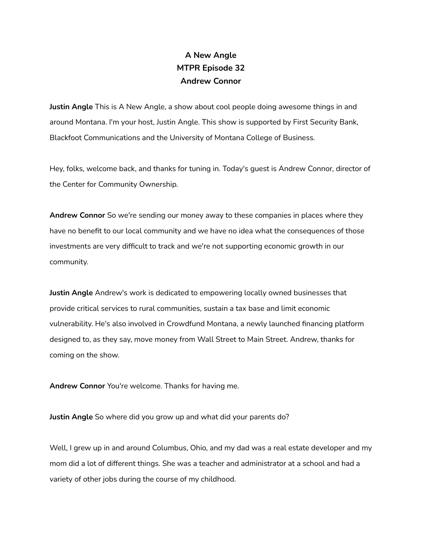## **A New Angle MTPR Episode 32 Andrew Connor**

**Justin Angle** This is A New Angle, a show about cool people doing awesome things in and around Montana. I'm your host, Justin Angle. This show is supported by First Security Bank, Blackfoot Communications and the University of Montana College of Business.

Hey, folks, welcome back, and thanks for tuning in. Today's guest is Andrew Connor, director of the Center for Community Ownership.

**Andrew Connor** So we're sending our money away to these companies in places where they have no benefit to our local community and we have no idea what the consequences of those investments are very difficult to track and we're not supporting economic growth in our community.

**Justin Angle** Andrew's work is dedicated to empowering locally owned businesses that provide critical services to rural communities, sustain a tax base and limit economic vulnerability. He's also involved in Crowdfund Montana, a newly launched financing platform designed to, as they say, move money from Wall Street to Main Street. Andrew, thanks for coming on the show.

**Andrew Connor** You're welcome. Thanks for having me.

**Justin Angle** So where did you grow up and what did your parents do?

Well, I grew up in and around Columbus, Ohio, and my dad was a real estate developer and my mom did a lot of different things. She was a teacher and administrator at a school and had a variety of other jobs during the course of my childhood.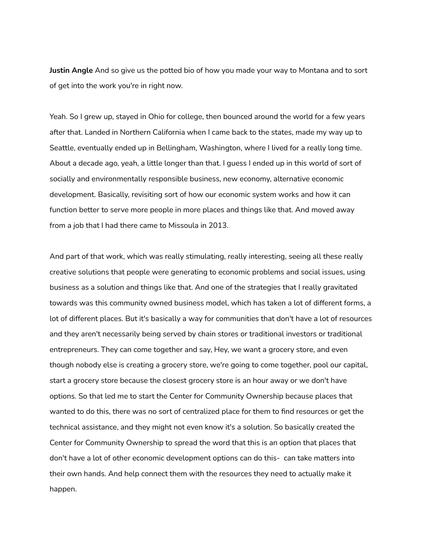**Justin Angle** And so give us the potted bio of how you made your way to Montana and to sort of get into the work you're in right now.

Yeah. So I grew up, stayed in Ohio for college, then bounced around the world for a few years after that. Landed in Northern California when I came back to the states, made my way up to Seattle, eventually ended up in Bellingham, Washington, where I lived for a really long time. About a decade ago, yeah, a little longer than that. I guess I ended up in this world of sort of socially and environmentally responsible business, new economy, alternative economic development. Basically, revisiting sort of how our economic system works and how it can function better to serve more people in more places and things like that. And moved away from a job that I had there came to Missoula in 2013.

And part of that work, which was really stimulating, really interesting, seeing all these really creative solutions that people were generating to economic problems and social issues, using business as a solution and things like that. And one of the strategies that I really gravitated towards was this community owned business model, which has taken a lot of different forms, a lot of different places. But it's basically a way for communities that don't have a lot of resources and they aren't necessarily being served by chain stores or traditional investors or traditional entrepreneurs. They can come together and say, Hey, we want a grocery store, and even though nobody else is creating a grocery store, we're going to come together, pool our capital, start a grocery store because the closest grocery store is an hour away or we don't have options. So that led me to start the Center for Community Ownership because places that wanted to do this, there was no sort of centralized place for them to find resources or get the technical assistance, and they might not even know it's a solution. So basically created the Center for Community Ownership to spread the word that this is an option that places that don't have a lot of other economic development options can do this- can take matters into their own hands. And help connect them with the resources they need to actually make it happen.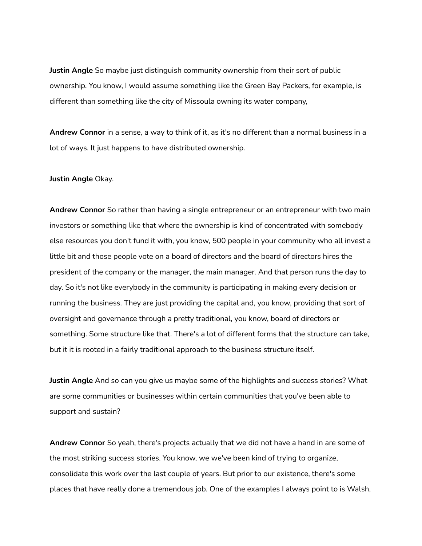**Justin Angle** So maybe just distinguish community ownership from their sort of public ownership. You know, I would assume something like the Green Bay Packers, for example, is different than something like the city of Missoula owning its water company,

**Andrew Connor** in a sense, a way to think of it, as it's no different than a normal business in a lot of ways. It just happens to have distributed ownership.

**Justin Angle** Okay.

**Andrew Connor** So rather than having a single entrepreneur or an entrepreneur with two main investors or something like that where the ownership is kind of concentrated with somebody else resources you don't fund it with, you know, 500 people in your community who all invest a little bit and those people vote on a board of directors and the board of directors hires the president of the company or the manager, the main manager. And that person runs the day to day. So it's not like everybody in the community is participating in making every decision or running the business. They are just providing the capital and, you know, providing that sort of oversight and governance through a pretty traditional, you know, board of directors or something. Some structure like that. There's a lot of different forms that the structure can take, but it it is rooted in a fairly traditional approach to the business structure itself.

**Justin Angle** And so can you give us maybe some of the highlights and success stories? What are some communities or businesses within certain communities that you've been able to support and sustain?

**Andrew Connor** So yeah, there's projects actually that we did not have a hand in are some of the most striking success stories. You know, we we've been kind of trying to organize, consolidate this work over the last couple of years. But prior to our existence, there's some places that have really done a tremendous job. One of the examples I always point to is Walsh,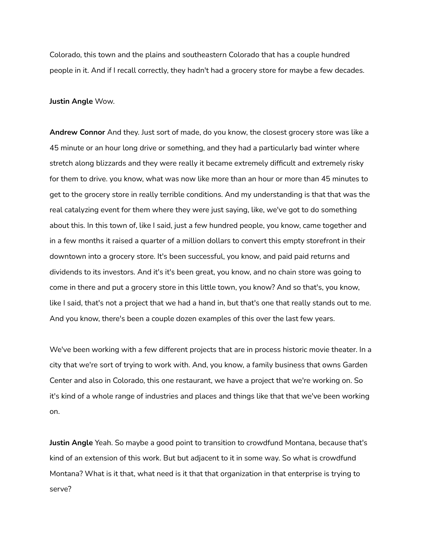Colorado, this town and the plains and southeastern Colorado that has a couple hundred people in it. And if I recall correctly, they hadn't had a grocery store for maybe a few decades.

## **Justin Angle** Wow.

**Andrew Connor** And they. Just sort of made, do you know, the closest grocery store was like a 45 minute or an hour long drive or something, and they had a particularly bad winter where stretch along blizzards and they were really it became extremely difficult and extremely risky for them to drive. you know, what was now like more than an hour or more than 45 minutes to get to the grocery store in really terrible conditions. And my understanding is that that was the real catalyzing event for them where they were just saying, like, we've got to do something about this. In this town of, like I said, just a few hundred people, you know, came together and in a few months it raised a quarter of a million dollars to convert this empty storefront in their downtown into a grocery store. It's been successful, you know, and paid paid returns and dividends to its investors. And it's it's been great, you know, and no chain store was going to come in there and put a grocery store in this little town, you know? And so that's, you know, like I said, that's not a project that we had a hand in, but that's one that really stands out to me. And you know, there's been a couple dozen examples of this over the last few years.

We've been working with a few different projects that are in process historic movie theater. In a city that we're sort of trying to work with. And, you know, a family business that owns Garden Center and also in Colorado, this one restaurant, we have a project that we're working on. So it's kind of a whole range of industries and places and things like that that we've been working on.

**Justin Angle** Yeah. So maybe a good point to transition to crowdfund Montana, because that's kind of an extension of this work. But but adjacent to it in some way. So what is crowdfund Montana? What is it that, what need is it that that organization in that enterprise is trying to serve?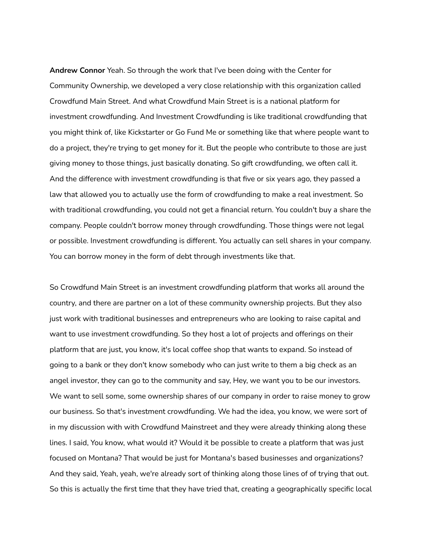**Andrew Connor** Yeah. So through the work that I've been doing with the Center for Community Ownership, we developed a very close relationship with this organization called Crowdfund Main Street. And what Crowdfund Main Street is is a national platform for investment crowdfunding. And Investment Crowdfunding is like traditional crowdfunding that you might think of, like Kickstarter or Go Fund Me or something like that where people want to do a project, they're trying to get money for it. But the people who contribute to those are just giving money to those things, just basically donating. So gift crowdfunding, we often call it. And the difference with investment crowdfunding is that five or six years ago, they passed a law that allowed you to actually use the form of crowdfunding to make a real investment. So with traditional crowdfunding, you could not get a financial return. You couldn't buy a share the company. People couldn't borrow money through crowdfunding. Those things were not legal or possible. Investment crowdfunding is different. You actually can sell shares in your company. You can borrow money in the form of debt through investments like that.

So Crowdfund Main Street is an investment crowdfunding platform that works all around the country, and there are partner on a lot of these community ownership projects. But they also just work with traditional businesses and entrepreneurs who are looking to raise capital and want to use investment crowdfunding. So they host a lot of projects and offerings on their platform that are just, you know, it's local coffee shop that wants to expand. So instead of going to a bank or they don't know somebody who can just write to them a big check as an angel investor, they can go to the community and say, Hey, we want you to be our investors. We want to sell some, some ownership shares of our company in order to raise money to grow our business. So that's investment crowdfunding. We had the idea, you know, we were sort of in my discussion with with Crowdfund Mainstreet and they were already thinking along these lines. I said, You know, what would it? Would it be possible to create a platform that was just focused on Montana? That would be just for Montana's based businesses and organizations? And they said, Yeah, yeah, we're already sort of thinking along those lines of of trying that out. So this is actually the first time that they have tried that, creating a geographically specific local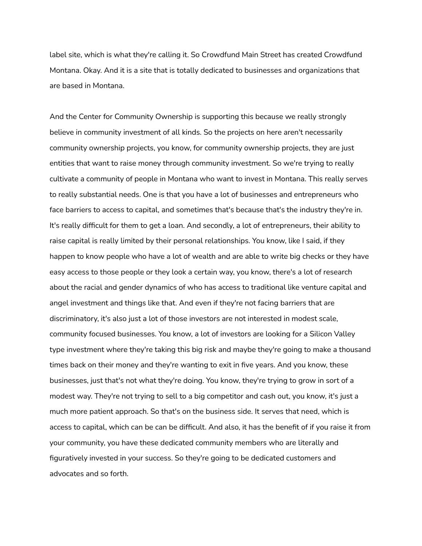label site, which is what they're calling it. So Crowdfund Main Street has created Crowdfund Montana. Okay. And it is a site that is totally dedicated to businesses and organizations that are based in Montana.

And the Center for Community Ownership is supporting this because we really strongly believe in community investment of all kinds. So the projects on here aren't necessarily community ownership projects, you know, for community ownership projects, they are just entities that want to raise money through community investment. So we're trying to really cultivate a community of people in Montana who want to invest in Montana. This really serves to really substantial needs. One is that you have a lot of businesses and entrepreneurs who face barriers to access to capital, and sometimes that's because that's the industry they're in. It's really difficult for them to get a loan. And secondly, a lot of entrepreneurs, their ability to raise capital is really limited by their personal relationships. You know, like I said, if they happen to know people who have a lot of wealth and are able to write big checks or they have easy access to those people or they look a certain way, you know, there's a lot of research about the racial and gender dynamics of who has access to traditional like venture capital and angel investment and things like that. And even if they're not facing barriers that are discriminatory, it's also just a lot of those investors are not interested in modest scale, community focused businesses. You know, a lot of investors are looking for a Silicon Valley type investment where they're taking this big risk and maybe they're going to make a thousand times back on their money and they're wanting to exit in five years. And you know, these businesses, just that's not what they're doing. You know, they're trying to grow in sort of a modest way. They're not trying to sell to a big competitor and cash out, you know, it's just a much more patient approach. So that's on the business side. It serves that need, which is access to capital, which can be can be difficult. And also, it has the benefit of if you raise it from your community, you have these dedicated community members who are literally and figuratively invested in your success. So they're going to be dedicated customers and advocates and so forth.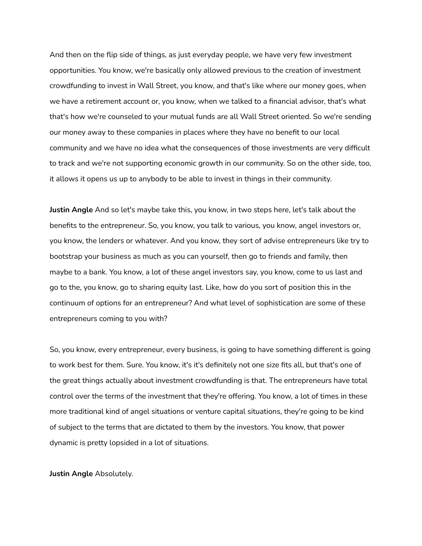And then on the flip side of things, as just everyday people, we have very few investment opportunities. You know, we're basically only allowed previous to the creation of investment crowdfunding to invest in Wall Street, you know, and that's like where our money goes, when we have a retirement account or, you know, when we talked to a financial advisor, that's what that's how we're counseled to your mutual funds are all Wall Street oriented. So we're sending our money away to these companies in places where they have no benefit to our local community and we have no idea what the consequences of those investments are very difficult to track and we're not supporting economic growth in our community. So on the other side, too, it allows it opens us up to anybody to be able to invest in things in their community.

**Justin Angle** And so let's maybe take this, you know, in two steps here, let's talk about the benefits to the entrepreneur. So, you know, you talk to various, you know, angel investors or, you know, the lenders or whatever. And you know, they sort of advise entrepreneurs like try to bootstrap your business as much as you can yourself, then go to friends and family, then maybe to a bank. You know, a lot of these angel investors say, you know, come to us last and go to the, you know, go to sharing equity last. Like, how do you sort of position this in the continuum of options for an entrepreneur? And what level of sophistication are some of these entrepreneurs coming to you with?

So, you know, every entrepreneur, every business, is going to have something different is going to work best for them. Sure. You know, it's it's definitely not one size fits all, but that's one of the great things actually about investment crowdfunding is that. The entrepreneurs have total control over the terms of the investment that they're offering. You know, a lot of times in these more traditional kind of angel situations or venture capital situations, they're going to be kind of subject to the terms that are dictated to them by the investors. You know, that power dynamic is pretty lopsided in a lot of situations.

**Justin Angle** Absolutely.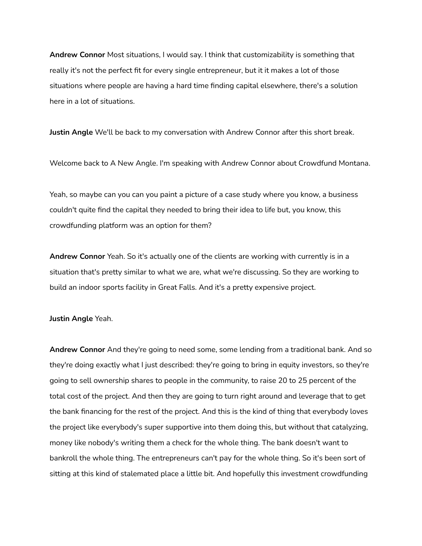**Andrew Connor** Most situations, I would say. I think that customizability is something that really it's not the perfect fit for every single entrepreneur, but it it makes a lot of those situations where people are having a hard time finding capital elsewhere, there's a solution here in a lot of situations.

**Justin Angle** We'll be back to my conversation with Andrew Connor after this short break.

Welcome back to A New Angle. I'm speaking with Andrew Connor about Crowdfund Montana.

Yeah, so maybe can you can you paint a picture of a case study where you know, a business couldn't quite find the capital they needed to bring their idea to life but, you know, this crowdfunding platform was an option for them?

**Andrew Connor** Yeah. So it's actually one of the clients are working with currently is in a situation that's pretty similar to what we are, what we're discussing. So they are working to build an indoor sports facility in Great Falls. And it's a pretty expensive project.

## **Justin Angle** Yeah.

**Andrew Connor** And they're going to need some, some lending from a traditional bank. And so they're doing exactly what I just described: they're going to bring in equity investors, so they're going to sell ownership shares to people in the community, to raise 20 to 25 percent of the total cost of the project. And then they are going to turn right around and leverage that to get the bank financing for the rest of the project. And this is the kind of thing that everybody loves the project like everybody's super supportive into them doing this, but without that catalyzing, money like nobody's writing them a check for the whole thing. The bank doesn't want to bankroll the whole thing. The entrepreneurs can't pay for the whole thing. So it's been sort of sitting at this kind of stalemated place a little bit. And hopefully this investment crowdfunding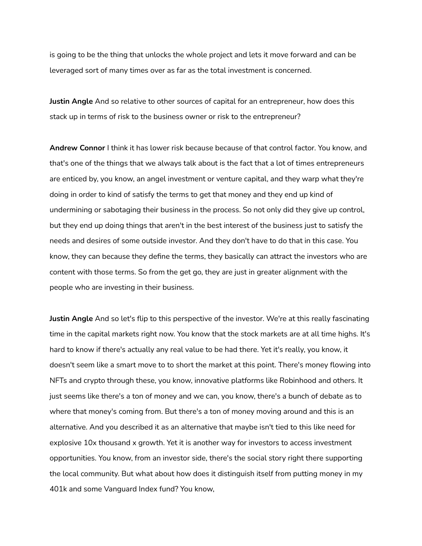is going to be the thing that unlocks the whole project and lets it move forward and can be leveraged sort of many times over as far as the total investment is concerned.

**Justin Angle** And so relative to other sources of capital for an entrepreneur, how does this stack up in terms of risk to the business owner or risk to the entrepreneur?

**Andrew Connor** I think it has lower risk because because of that control factor. You know, and that's one of the things that we always talk about is the fact that a lot of times entrepreneurs are enticed by, you know, an angel investment or venture capital, and they warp what they're doing in order to kind of satisfy the terms to get that money and they end up kind of undermining or sabotaging their business in the process. So not only did they give up control, but they end up doing things that aren't in the best interest of the business just to satisfy the needs and desires of some outside investor. And they don't have to do that in this case. You know, they can because they define the terms, they basically can attract the investors who are content with those terms. So from the get go, they are just in greater alignment with the people who are investing in their business.

**Justin Angle** And so let's flip to this perspective of the investor. We're at this really fascinating time in the capital markets right now. You know that the stock markets are at all time highs. It's hard to know if there's actually any real value to be had there. Yet it's really, you know, it doesn't seem like a smart move to to short the market at this point. There's money flowing into NFTs and crypto through these, you know, innovative platforms like Robinhood and others. It just seems like there's a ton of money and we can, you know, there's a bunch of debate as to where that money's coming from. But there's a ton of money moving around and this is an alternative. And you described it as an alternative that maybe isn't tied to this like need for explosive 10x thousand x growth. Yet it is another way for investors to access investment opportunities. You know, from an investor side, there's the social story right there supporting the local community. But what about how does it distinguish itself from putting money in my 401k and some Vanguard Index fund? You know,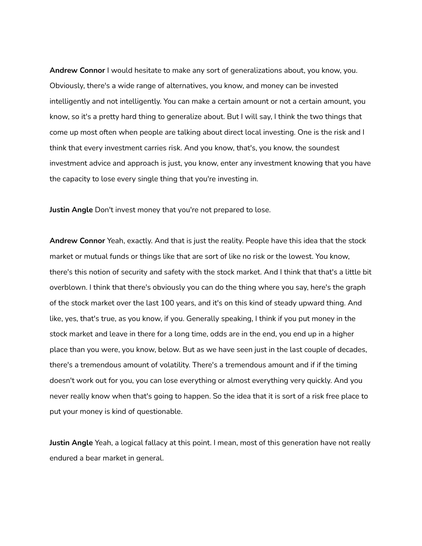**Andrew Connor** I would hesitate to make any sort of generalizations about, you know, you. Obviously, there's a wide range of alternatives, you know, and money can be invested intelligently and not intelligently. You can make a certain amount or not a certain amount, you know, so it's a pretty hard thing to generalize about. But I will say, I think the two things that come up most often when people are talking about direct local investing. One is the risk and I think that every investment carries risk. And you know, that's, you know, the soundest investment advice and approach is just, you know, enter any investment knowing that you have the capacity to lose every single thing that you're investing in.

**Justin Angle** Don't invest money that you're not prepared to lose.

**Andrew Connor** Yeah, exactly. And that is just the reality. People have this idea that the stock market or mutual funds or things like that are sort of like no risk or the lowest. You know, there's this notion of security and safety with the stock market. And I think that that's a little bit overblown. I think that there's obviously you can do the thing where you say, here's the graph of the stock market over the last 100 years, and it's on this kind of steady upward thing. And like, yes, that's true, as you know, if you. Generally speaking, I think if you put money in the stock market and leave in there for a long time, odds are in the end, you end up in a higher place than you were, you know, below. But as we have seen just in the last couple of decades, there's a tremendous amount of volatility. There's a tremendous amount and if if the timing doesn't work out for you, you can lose everything or almost everything very quickly. And you never really know when that's going to happen. So the idea that it is sort of a risk free place to put your money is kind of questionable.

**Justin Angle** Yeah, a logical fallacy at this point. I mean, most of this generation have not really endured a bear market in general.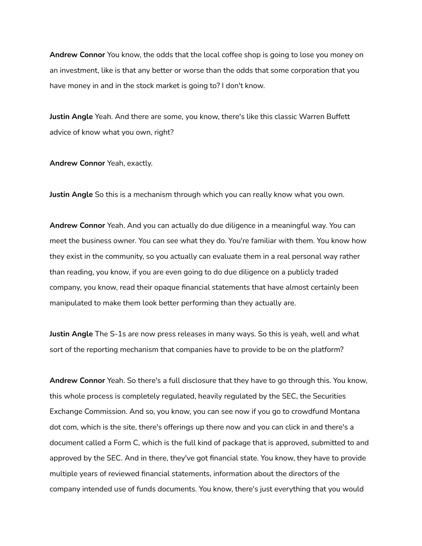**Andrew Connor** You know, the odds that the local coffee shop is going to lose you money on an investment, like is that any better or worse than the odds that some corporation that you have money in and in the stock market is going to? I don't know.

**Justin Angle** Yeah. And there are some, you know, there's like this classic Warren Buffett advice of know what you own, right?

**Andrew Connor** Yeah, exactly.

**Justin Angle** So this is a mechanism through which you can really know what you own.

**Andrew Connor** Yeah. And you can actually do due diligence in a meaningful way. You can meet the business owner. You can see what they do. You're familiar with them. You know how they exist in the community, so you actually can evaluate them in a real personal way rather than reading, you know, if you are even going to do due diligence on a publicly traded company, you know, read their opaque financial statements that have almost certainly been manipulated to make them look better performing than they actually are.

**Justin Angle** The S-1s are now press releases in many ways. So this is yeah, well and what sort of the reporting mechanism that companies have to provide to be on the platform?

**Andrew Connor** Yeah. So there's a full disclosure that they have to go through this. You know, this whole process is completely regulated, heavily regulated by the SEC, the Securities Exchange Commission. And so, you know, you can see now if you go to crowdfund Montana dot com, which is the site, there's offerings up there now and you can click in and there's a document called a Form C, which is the full kind of package that is approved, submitted to and approved by the SEC. And in there, they've got financial state. You know, they have to provide multiple years of reviewed financial statements, information about the directors of the company intended use of funds documents. You know, there's just everything that you would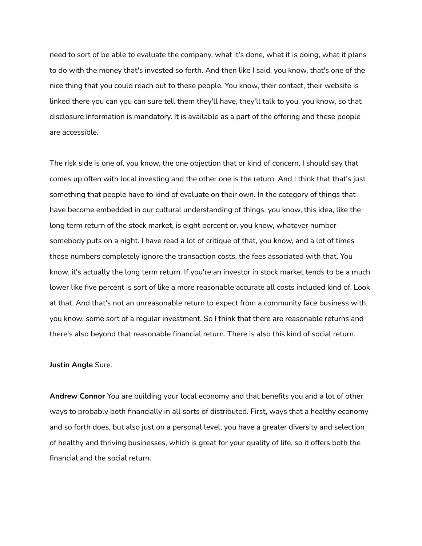need to sort of be able to evaluate the company, what it's done, what it is doing, what it plans to do with the money that's invested so forth. And then like I said, you know, that's one of the nice thing that you could reach out to these people. You know, their contact, their website is linked there you can you can sure tell them they'll have, they'll talk to you, you know, so that disclosure information is mandatory. It is available as a part of the offering and these people are accessible.

The risk side is one of, you know, the one objection that or kind of concern, I should say that comes up often with local investing and the other one is the return. And I think that that's just something that people have to kind of evaluate on their own. In the category of things that have become embedded in our cultural understanding of things, you know, this idea, like the long term return of the stock market, is eight percent or, you know, whatever number somebody puts on a night. I have read a lot of critique of that, you know, and a lot of times those numbers completely ignore the transaction costs, the fees associated with that. You know, it's actually the long term return. If you're an investor in stock market tends to be a much lower like five percent is sort of like a more reasonable accurate all costs included kind of. Look at that. And that's not an unreasonable return to expect from a community face business with, you know, some sort of a regular investment. So I think that there are reasonable returns and there's also beyond that reasonable financial return. There is also this kind of social return.

## **Justin Angle** Sure.

**Andrew Connor** You are building your local economy and that benefits you and a lot of other ways to probably both financially in all sorts of distributed. First, ways that a healthy economy and so forth does, but also just on a personal level, you have a greater diversity and selection of healthy and thriving businesses, which is great for your quality of life, so it offers both the financial and the social return.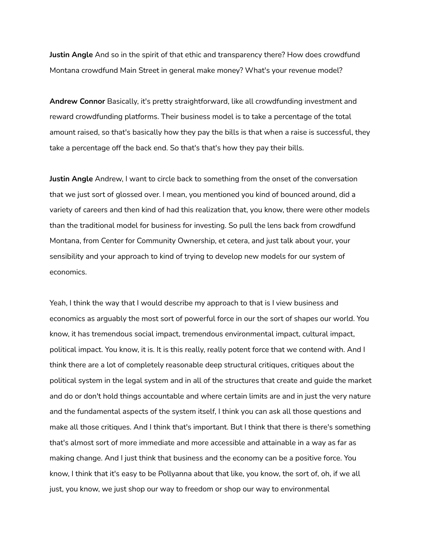**Justin Angle** And so in the spirit of that ethic and transparency there? How does crowdfund Montana crowdfund Main Street in general make money? What's your revenue model?

**Andrew Connor** Basically, it's pretty straightforward, like all crowdfunding investment and reward crowdfunding platforms. Their business model is to take a percentage of the total amount raised, so that's basically how they pay the bills is that when a raise is successful, they take a percentage off the back end. So that's that's how they pay their bills.

**Justin Angle** Andrew, I want to circle back to something from the onset of the conversation that we just sort of glossed over. I mean, you mentioned you kind of bounced around, did a variety of careers and then kind of had this realization that, you know, there were other models than the traditional model for business for investing. So pull the lens back from crowdfund Montana, from Center for Community Ownership, et cetera, and just talk about your, your sensibility and your approach to kind of trying to develop new models for our system of economics.

Yeah, I think the way that I would describe my approach to that is I view business and economics as arguably the most sort of powerful force in our the sort of shapes our world. You know, it has tremendous social impact, tremendous environmental impact, cultural impact, political impact. You know, it is. It is this really, really potent force that we contend with. And I think there are a lot of completely reasonable deep structural critiques, critiques about the political system in the legal system and in all of the structures that create and guide the market and do or don't hold things accountable and where certain limits are and in just the very nature and the fundamental aspects of the system itself, I think you can ask all those questions and make all those critiques. And I think that's important. But I think that there is there's something that's almost sort of more immediate and more accessible and attainable in a way as far as making change. And I just think that business and the economy can be a positive force. You know, I think that it's easy to be Pollyanna about that like, you know, the sort of, oh, if we all just, you know, we just shop our way to freedom or shop our way to environmental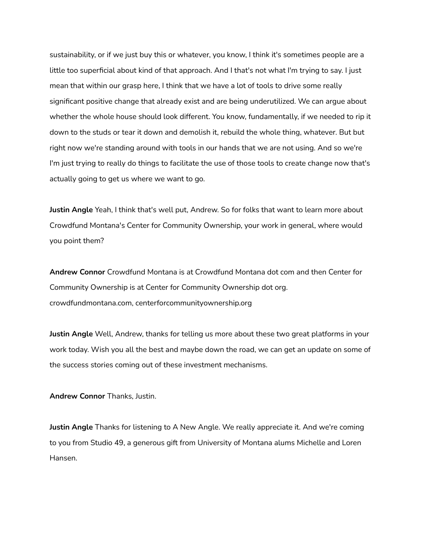sustainability, or if we just buy this or whatever, you know, I think it's sometimes people are a little too superficial about kind of that approach. And I that's not what I'm trying to say. I just mean that within our grasp here, I think that we have a lot of tools to drive some really significant positive change that already exist and are being underutilized. We can argue about whether the whole house should look different. You know, fundamentally, if we needed to rip it down to the studs or tear it down and demolish it, rebuild the whole thing, whatever. But but right now we're standing around with tools in our hands that we are not using. And so we're I'm just trying to really do things to facilitate the use of those tools to create change now that's actually going to get us where we want to go.

**Justin Angle** Yeah, I think that's well put, Andrew. So for folks that want to learn more about Crowdfund Montana's Center for Community Ownership, your work in general, where would you point them?

**Andrew Connor** Crowdfund Montana is at Crowdfund Montana dot com and then Center for Community Ownership is at Center for Community Ownership dot org. crowdfundmontana.com, centerforcommunityownership.org

**Justin Angle** Well, Andrew, thanks for telling us more about these two great platforms in your work today. Wish you all the best and maybe down the road, we can get an update on some of the success stories coming out of these investment mechanisms.

**Andrew Connor** Thanks, Justin.

**Justin Angle** Thanks for listening to A New Angle. We really appreciate it. And we're coming to you from Studio 49, a generous gift from University of Montana alums Michelle and Loren Hansen.